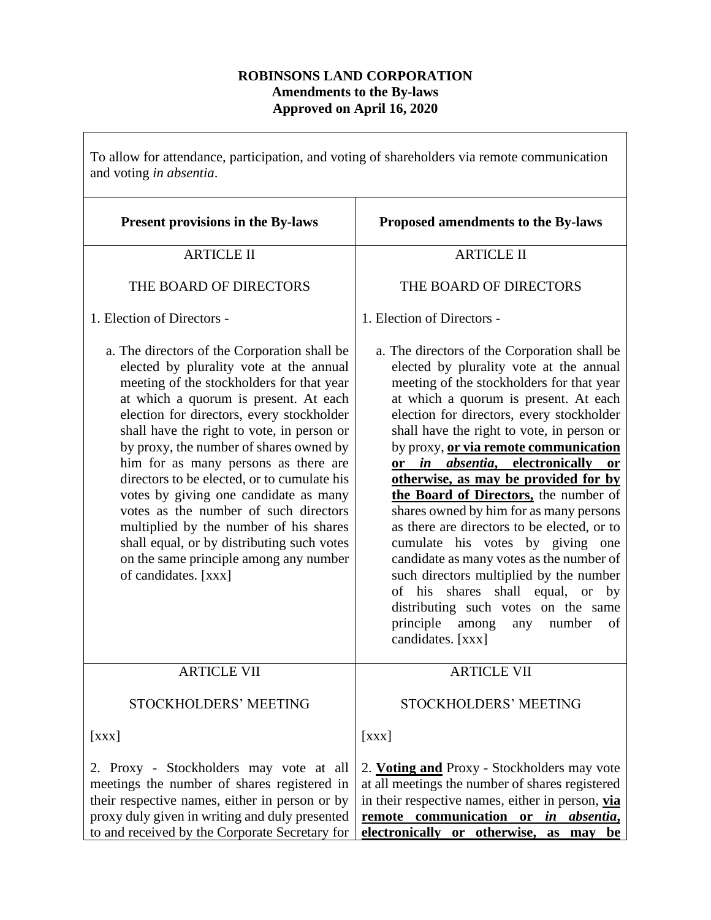## **ROBINSONS LAND CORPORATION Amendments to the By-laws Approved on April 16, 2020**

To allow for attendance, participation, and voting of shareholders via remote communication and voting *in absentia*.

| <b>Present provisions in the By-laws</b>                                                                                                                                                                                                                                                                                                                                                                                                                                                                                                                                                                                                               | Proposed amendments to the By-laws                                                                                                                                                                                                                                                                                                                                                                                                                                                                                                                                                                                                                                                                                                                                                                              |
|--------------------------------------------------------------------------------------------------------------------------------------------------------------------------------------------------------------------------------------------------------------------------------------------------------------------------------------------------------------------------------------------------------------------------------------------------------------------------------------------------------------------------------------------------------------------------------------------------------------------------------------------------------|-----------------------------------------------------------------------------------------------------------------------------------------------------------------------------------------------------------------------------------------------------------------------------------------------------------------------------------------------------------------------------------------------------------------------------------------------------------------------------------------------------------------------------------------------------------------------------------------------------------------------------------------------------------------------------------------------------------------------------------------------------------------------------------------------------------------|
| <b>ARTICLE II</b>                                                                                                                                                                                                                                                                                                                                                                                                                                                                                                                                                                                                                                      | <b>ARTICLE II</b>                                                                                                                                                                                                                                                                                                                                                                                                                                                                                                                                                                                                                                                                                                                                                                                               |
| THE BOARD OF DIRECTORS                                                                                                                                                                                                                                                                                                                                                                                                                                                                                                                                                                                                                                 | THE BOARD OF DIRECTORS                                                                                                                                                                                                                                                                                                                                                                                                                                                                                                                                                                                                                                                                                                                                                                                          |
| 1. Election of Directors -                                                                                                                                                                                                                                                                                                                                                                                                                                                                                                                                                                                                                             | 1. Election of Directors -                                                                                                                                                                                                                                                                                                                                                                                                                                                                                                                                                                                                                                                                                                                                                                                      |
| a. The directors of the Corporation shall be<br>elected by plurality vote at the annual<br>meeting of the stockholders for that year<br>at which a quorum is present. At each<br>election for directors, every stockholder<br>shall have the right to vote, in person or<br>by proxy, the number of shares owned by<br>him for as many persons as there are<br>directors to be elected, or to cumulate his<br>votes by giving one candidate as many<br>votes as the number of such directors<br>multiplied by the number of his shares<br>shall equal, or by distributing such votes<br>on the same principle among any number<br>of candidates. [xxx] | a. The directors of the Corporation shall be<br>elected by plurality vote at the annual<br>meeting of the stockholders for that year<br>at which a quorum is present. At each<br>election for directors, every stockholder<br>shall have the right to vote, in person or<br>by proxy, or via remote communication<br>or in absentia, electronically<br>or<br>otherwise, as may be provided for by<br>the Board of Directors, the number of<br>shares owned by him for as many persons<br>as there are directors to be elected, or to<br>cumulate his votes by giving one<br>candidate as many votes as the number of<br>such directors multiplied by the number<br>of his shares shall equal, or<br>by<br>distributing such votes on the same<br>principle<br>among<br>number<br>of<br>any<br>candidates. [xxx] |
| <b>ARTICLE VII</b>                                                                                                                                                                                                                                                                                                                                                                                                                                                                                                                                                                                                                                     | <b>ARTICLE VII</b>                                                                                                                                                                                                                                                                                                                                                                                                                                                                                                                                                                                                                                                                                                                                                                                              |
| STOCKHOLDERS' MEETING                                                                                                                                                                                                                                                                                                                                                                                                                                                                                                                                                                                                                                  | <b>STOCKHOLDERS' MEETING</b>                                                                                                                                                                                                                                                                                                                                                                                                                                                                                                                                                                                                                                                                                                                                                                                    |
| [XX]                                                                                                                                                                                                                                                                                                                                                                                                                                                                                                                                                                                                                                                   | [XXX]                                                                                                                                                                                                                                                                                                                                                                                                                                                                                                                                                                                                                                                                                                                                                                                                           |
| 2. Proxy - Stockholders may vote at all<br>meetings the number of shares registered in<br>their respective names, either in person or by<br>proxy duly given in writing and duly presented<br>to and received by the Corporate Secretary for                                                                                                                                                                                                                                                                                                                                                                                                           | 2. <b>Voting and</b> Proxy - Stockholders may vote<br>at all meetings the number of shares registered<br>in their respective names, either in person, via<br>remote communication or in absentia,<br>electronically or otherwise, as may be                                                                                                                                                                                                                                                                                                                                                                                                                                                                                                                                                                     |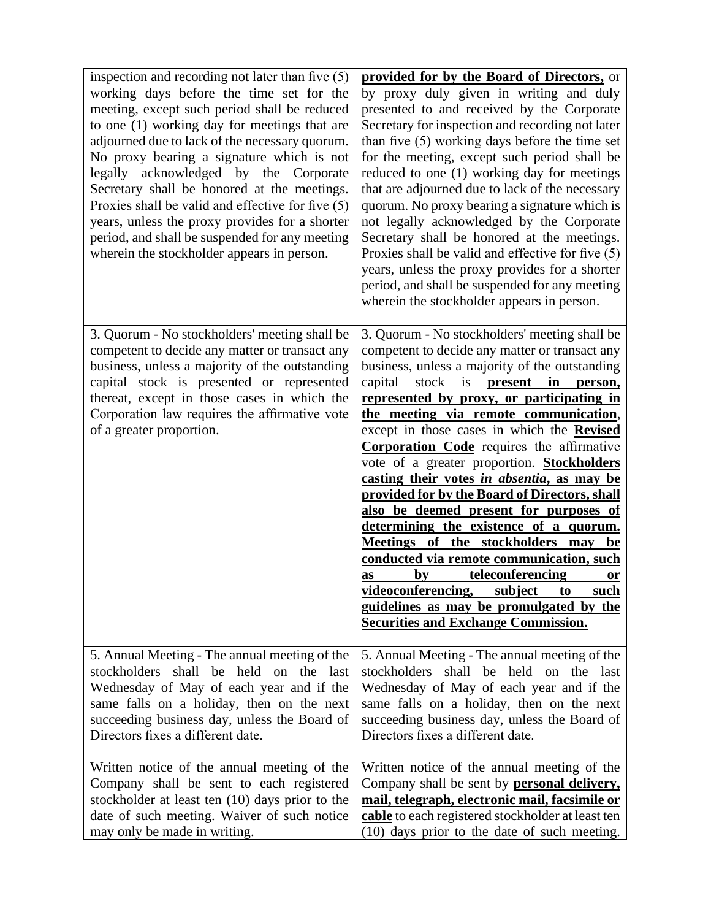| inspection and recording not later than five $(5)$<br>working days before the time set for the<br>meeting, except such period shall be reduced<br>to one (1) working day for meetings that are<br>adjourned due to lack of the necessary quorum.<br>No proxy bearing a signature which is not<br>legally acknowledged by the Corporate<br>Secretary shall be honored at the meetings.<br>Proxies shall be valid and effective for five (5)<br>years, unless the proxy provides for a shorter<br>period, and shall be suspended for any meeting<br>wherein the stockholder appears in person. | provided for by the Board of Directors, or<br>by proxy duly given in writing and duly<br>presented to and received by the Corporate<br>Secretary for inspection and recording not later<br>than five (5) working days before the time set<br>for the meeting, except such period shall be<br>reduced to one (1) working day for meetings<br>that are adjourned due to lack of the necessary<br>quorum. No proxy bearing a signature which is<br>not legally acknowledged by the Corporate<br>Secretary shall be honored at the meetings.<br>Proxies shall be valid and effective for five (5)<br>years, unless the proxy provides for a shorter<br>period, and shall be suspended for any meeting<br>wherein the stockholder appears in person.                                                                                                                                                                                            |
|----------------------------------------------------------------------------------------------------------------------------------------------------------------------------------------------------------------------------------------------------------------------------------------------------------------------------------------------------------------------------------------------------------------------------------------------------------------------------------------------------------------------------------------------------------------------------------------------|--------------------------------------------------------------------------------------------------------------------------------------------------------------------------------------------------------------------------------------------------------------------------------------------------------------------------------------------------------------------------------------------------------------------------------------------------------------------------------------------------------------------------------------------------------------------------------------------------------------------------------------------------------------------------------------------------------------------------------------------------------------------------------------------------------------------------------------------------------------------------------------------------------------------------------------------|
| 3. Quorum - No stockholders' meeting shall be<br>competent to decide any matter or transact any<br>business, unless a majority of the outstanding<br>capital stock is presented or represented<br>thereat, except in those cases in which the<br>Corporation law requires the affirmative vote<br>of a greater proportion.                                                                                                                                                                                                                                                                   | 3. Quorum - No stockholders' meeting shall be<br>competent to decide any matter or transact any<br>business, unless a majority of the outstanding<br>stock is<br>capital<br>present in<br>person,<br>represented by proxy, or participating in<br>the meeting via remote communication,<br>except in those cases in which the <b>Revised</b><br><b>Corporation Code</b> requires the affirmative<br>vote of a greater proportion. <b>Stockholders</b><br>casting their votes in absentia, as may be<br><u>provided for by the Board of Directors, shall</u><br>also be deemed present for purposes of<br>determining the existence of a quorum.<br>Meetings of the stockholders may be<br>conducted via remote communication, such<br><u>teleconferencing</u><br>$\mathbf{by}$<br>as<br>or<br>videoconferencing, subject to<br><u>such</u><br><u>guidelines as may be promulgated by the</u><br><b>Securities and Exchange Commission.</b> |
| 5. Annual Meeting - The annual meeting of the<br>stockholders shall be held on the last<br>Wednesday of May of each year and if the<br>same falls on a holiday, then on the next<br>succeeding business day, unless the Board of<br>Directors fixes a different date.                                                                                                                                                                                                                                                                                                                        | 5. Annual Meeting - The annual meeting of the<br>shall be held on the last<br>stockholders<br>Wednesday of May of each year and if the<br>same falls on a holiday, then on the next<br>succeeding business day, unless the Board of<br>Directors fixes a different date.                                                                                                                                                                                                                                                                                                                                                                                                                                                                                                                                                                                                                                                                   |
| Written notice of the annual meeting of the<br>Company shall be sent to each registered<br>stockholder at least ten (10) days prior to the<br>date of such meeting. Waiver of such notice<br>may only be made in writing.                                                                                                                                                                                                                                                                                                                                                                    | Written notice of the annual meeting of the<br>Company shall be sent by <b>personal delivery</b> ,<br>mail, telegraph, electronic mail, facsimile or<br>cable to each registered stockholder at least ten<br>(10) days prior to the date of such meeting.                                                                                                                                                                                                                                                                                                                                                                                                                                                                                                                                                                                                                                                                                  |